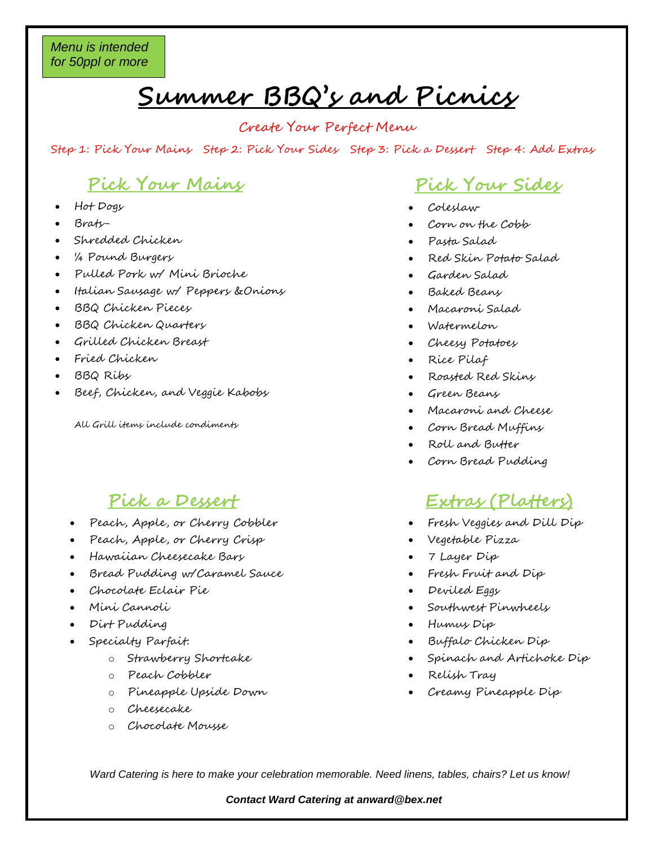# **Summer BBQ's and Picnics**

#### Create Your Perfect Menu

Step 1: Pick Your Mains Step 2: Pick Your Sides Step 3: Pick a Dessert Step 4: Add Extras

## **Pick Your Mains**

- Hot Dogs
- Brats-
- Shredded Chicken
- ¼ Pound Burgers
- Pulled Pork w/ Mini Brioche
- Italian Sausage w/ Peppers &Onions
- BBQ Chicken Pieces
- BBQ Chicken Quarters
- Grilled Chicken Breast
- Fried Chicken
- BBQ Ribs
- Beef, Chicken, and Veggie Kabobs

All Grill items include condiments

### **Pick a Dessert**

- Peach, Apple, or Cherry Cobbler
- Peach, Apple, or Cherry Crisp
- Hawaiian Cheesecake Bars
- Bread Pudding w/Caramel Sauce
- Chocolate Eclair Pie
- Mini Cannoli
- Dirt Pudding
- Specialty Parfait:
	- o Strawberry Shortcake
	- o Peach Cobbler
	- o Pineapple Upside Down
	- o Cheesecake
	- o Chocolate Mousse

# **Pick Your Sides**

- Coleslaw
- Corn on the Cobb
- Pasta Salad
- Red Skin Potato Salad
- Garden Salad
- Baked Beans
- Macaroni Salad
- Watermelon
- Cheesy Potatoes
- Rice Pilaf
- Roasted Red Skins
- **Green Beany**
- Macaroni and Cheese
- Corn Bread Muffins
- Roll and Butter
- Corn Bread Pudding

## **Extras (Platters)**

- Fresh Veggies and Dill Dip
- Vegetable Pizza
- 7 Layer Dip
- Fresh Fruit and Dip
- Deviled Eggs
- Southwest Pinwheels
- Humus Dip
- Buffalo Chicken Dip
- Spinach and Artichoke Dip
- Relish Tray
- Creamy Pineapple Dip

*Ward Catering is here to make your celebration memorable. Need linens, tables, chairs? Let us know!*

#### *Contact Ward Catering at anward@bex.net*